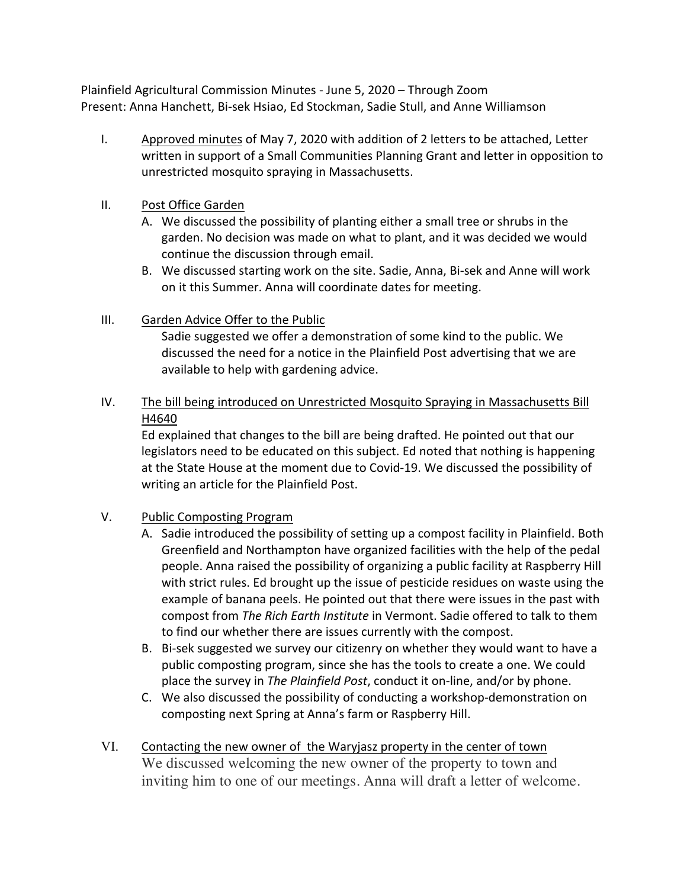Plainfield Agricultural Commission Minutes - June 5, 2020 – Through Zoom Present: Anna Hanchett, Bi-sek Hsiao, Ed Stockman, Sadie Stull, and Anne Williamson

- I. Approved minutes of May 7, 2020 with addition of 2 letters to be attached, Letter written in support of a Small Communities Planning Grant and letter in opposition to unrestricted mosquito spraying in Massachusetts.
- II. Post Office Garden
	- A. We discussed the possibility of planting either a small tree or shrubs in the garden. No decision was made on what to plant, and it was decided we would continue the discussion through email.
	- B. We discussed starting work on the site. Sadie, Anna, Bi-sek and Anne will work on it this Summer. Anna will coordinate dates for meeting.

## III. Garden Advice Offer to the Public

Sadie suggested we offer a demonstration of some kind to the public. We discussed the need for a notice in the Plainfield Post advertising that we are available to help with gardening advice.

IV. The bill being introduced on Unrestricted Mosquito Spraying in Massachusetts Bill H4640

Ed explained that changes to the bill are being drafted. He pointed out that our legislators need to be educated on this subject. Ed noted that nothing is happening at the State House at the moment due to Covid-19. We discussed the possibility of writing an article for the Plainfield Post.

## V. Public Composting Program

- A. Sadie introduced the possibility of setting up a compost facility in Plainfield. Both Greenfield and Northampton have organized facilities with the help of the pedal people. Anna raised the possibility of organizing a public facility at Raspberry Hill with strict rules. Ed brought up the issue of pesticide residues on waste using the example of banana peels. He pointed out that there were issues in the past with compost from *The Rich Earth Institute* in Vermont. Sadie offered to talk to them to find our whether there are issues currently with the compost.
- B. Bi-sek suggested we survey our citizenry on whether they would want to have a public composting program, since she has the tools to create a one. We could place the survey in *The Plainfield Post*, conduct it on-line, and/or by phone.
- C. We also discussed the possibility of conducting a workshop-demonstration on composting next Spring at Anna's farm or Raspberry Hill.
- VI. Contacting the new owner of the Waryjasz property in the center of town We discussed welcoming the new owner of the property to town and inviting him to one of our meetings. Anna will draft a letter of welcome.